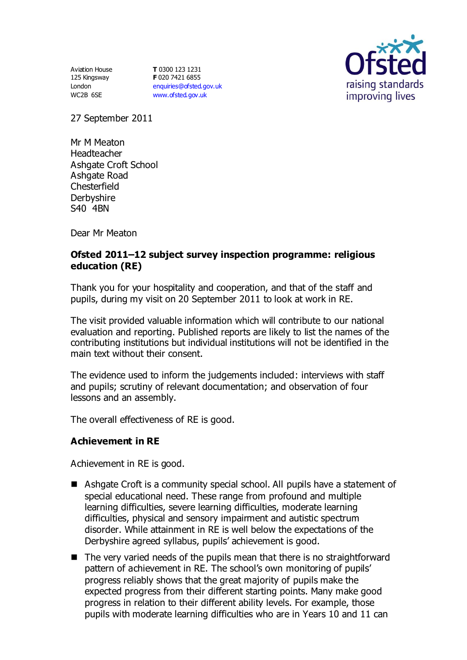Aviation House 125 Kingsway London WC2B 6SE

**T** 0300 123 1231 **F** 020 7421 6855 [enquiries@ofsted.gov.uk](mailto:enquiries@ofsted.gov.uk) [www.ofsted.gov.uk](http://www.ofsted.gov.uk/)



27 September 2011

Mr M Meaton Headteacher Ashgate Croft School Ashgate Road **Chesterfield Derbyshire** S40 4BN

Dear Mr Meaton

# **Ofsted 2011–12 subject survey inspection programme: religious education (RE)**

Thank you for your hospitality and cooperation, and that of the staff and pupils, during my visit on 20 September 2011 to look at work in RE.

The visit provided valuable information which will contribute to our national evaluation and reporting. Published reports are likely to list the names of the contributing institutions but individual institutions will not be identified in the main text without their consent.

The evidence used to inform the judgements included: interviews with staff and pupils; scrutiny of relevant documentation; and observation of four lessons and an assembly.

The overall effectiveness of RE is good.

### **Achievement in RE**

Achievement in RE is good.

- Ashgate Croft is a community special school. All pupils have a statement of special educational need. These range from profound and multiple learning difficulties, severe learning difficulties, moderate learning difficulties, physical and sensory impairment and autistic spectrum disorder. While attainment in RE is well below the expectations of the Derbyshire agreed syllabus, pupils' achievement is good.
- $\blacksquare$  The very varied needs of the pupils mean that there is no straightforward pattern of achievement in RE. The school's own monitoring of pupils' progress reliably shows that the great majority of pupils make the expected progress from their different starting points. Many make good progress in relation to their different ability levels. For example, those pupils with moderate learning difficulties who are in Years 10 and 11 can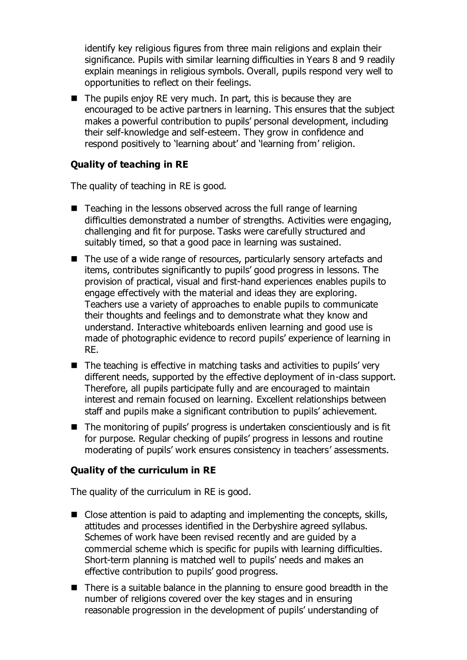identify key religious figures from three main religions and explain their significance. Pupils with similar learning difficulties in Years 8 and 9 readily explain meanings in religious symbols. Overall, pupils respond very well to opportunities to reflect on their feelings.

 $\blacksquare$  The pupils enjoy RE very much. In part, this is because they are encouraged to be active partners in learning. This ensures that the subject makes a powerful contribution to pupils' personal development, including their self-knowledge and self-esteem. They grow in confidence and respond positively to 'learning about' and 'learning from' religion.

# **Quality of teaching in RE**

The quality of teaching in RE is good.

- Teaching in the lessons observed across the full range of learning difficulties demonstrated a number of strengths. Activities were engaging, challenging and fit for purpose. Tasks were carefully structured and suitably timed, so that a good pace in learning was sustained.
- The use of a wide range of resources, particularly sensory artefacts and items, contributes significantly to pupils' good progress in lessons. The provision of practical, visual and first-hand experiences enables pupils to engage effectively with the material and ideas they are exploring. Teachers use a variety of approaches to enable pupils to communicate their thoughts and feelings and to demonstrate what they know and understand. Interactive whiteboards enliven learning and good use is made of photographic evidence to record pupils' experience of learning in RE.
- $\blacksquare$  The teaching is effective in matching tasks and activities to pupils' very different needs, supported by the effective deployment of in-class support. Therefore, all pupils participate fully and are encouraged to maintain interest and remain focused on learning. Excellent relationships between staff and pupils make a significant contribution to pupils' achievement.
- The monitoring of pupils' progress is undertaken conscientiously and is fit for purpose. Regular checking of pupils' progress in lessons and routine moderating of pupils' work ensures consistency in teachers' assessments.

### **Quality of the curriculum in RE**

The quality of the curriculum in RE is good.

- $\blacksquare$  Close attention is paid to adapting and implementing the concepts, skills, attitudes and processes identified in the Derbyshire agreed syllabus. Schemes of work have been revised recently and are guided by a commercial scheme which is specific for pupils with learning difficulties. Short-term planning is matched well to pupils' needs and makes an effective contribution to pupils' good progress.
- There is a suitable balance in the planning to ensure good breadth in the number of religions covered over the key stages and in ensuring reasonable progression in the development of pupils' understanding of